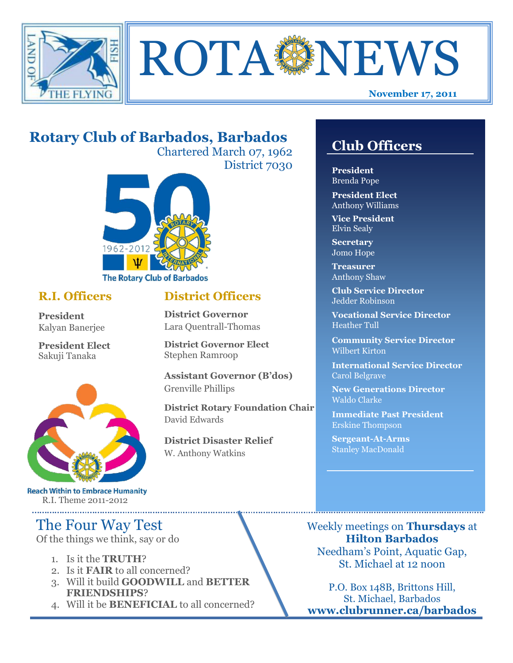



# **Rotary Club of Barbados, Barbados**

Chartered March 07, 1962 District 7030



### **R.I. Officers**

**President**  Kalyan Banerjee

**President Elect** Sakuji Tanaka



**Reach Within to Embrace Humanity** R.I. Theme 2011-2012

# The Four Way Test

Of the things we think, say or do

- 1. Is it the **TRUTH**?
- 2. Is it **FAIR** to all concerned?
- 3. Will it build **GOODWILL** and **BETTER FRIENDSHIPS**?
- 4. Will it be **BENEFICIAL** to all concerned?

## **Club Officers**

**Club Officers** 

**President** Brenda Pope

**President Elect** Anthony Williams

**Vice President** Elvin Sealy

**Secretary** Jomo Hope

**Treasurer** Anthony Shaw

**Club Service Director** Jedder Robinson

**Vocational Service Director** Heather Tull

**Community Service Director** Wilbert Kirton

**International Service Director** Carol Belgrave

**New Generations Director** Waldo Clarke

**Immediate Past President** Erskine Thompson

**Sergeant-At-Arms** Stanley MacDonald

Weekly meetings on **Thursdays** at **Hilton Barbados** Needham's Point, Aquatic Gap, St. Michael at 12 noon

P.O. Box 148B, Brittons Hill, St. Michael, Barbados **www.clubrunner.ca/barbados**

# **District Officers**

**District Governor** Lara Quentrall-Thomas

**District Governor Elect** Stephen Ramroop

**Assistant Governor (B'dos)** Grenville Phillips

**District Rotary Foundation Chair** David Edwards

**District Disaster Relief** W. Anthony Watkins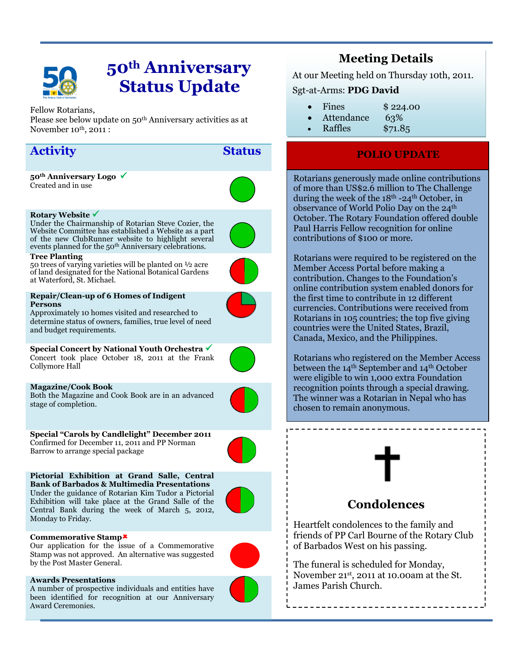

# **50th Anniversary Status Update**

#### Fellow Rotarians,

Please see below update on 50th Anniversary activities as at November  $10^{th}$ ,  $2011$ :

## **Activity Status**

**50th Anniversary Logo**  Created and in use

#### **Rotary Website**

Under the Chairmanship of Rotarian Steve Cozier, the Website Committee has established a Website as a part of the new ClubRunner website to highlight several events planned for the 50th Anniversary celebrations.

#### **Tree Planting**

50 trees of varying varieties will be planted on ½ acre of land designated for the National Botanical Gardens at Waterford, St. Michael.

#### **Repair/Clean-up of 6 Homes of Indigent Persons**



Approximately 10 homes visited and researched to determine status of owners, families, true level of need and budget requirements.

**Special Concert by National Youth Orchestra** Concert took place October 18, 2011 at the Frank Collymore Hall



**Magazine/Cook Book** Both the Magazine and Cook Book are in an advanced stage of completion.



**Special "Carols by Candlelight" December 2011** Confirmed for December 11, 2011 and PP Norman Barrow to arrange special package

**Pictorial Exhibition at Grand Salle, Central Bank of Barbados & Multimedia Presentations** Under the guidance of Rotarian Kim Tudor a Pictorial Exhibition will take place at the Grand Salle of the Central Bank during the week of March 5, 2012, Monday to Friday.



#### **Commemorative Stamp**

Our application for the issue of a Commemorative Stamp was not approved. An alternative was suggested by the Post Master General.

#### **Awards Presentations**

A number of prospective individuals and entities have been identified for recognition at our Anniversary Award Ceremonies.



At our Meeting held on Thursday 10th, 2011.

### Sgt-at-Arms: **PDG David**

- Fines \$224.00
- Attendance 63%
- Raffles \$71.85

### **POLIO UPDATE**

Rotarians generously made online contributions of more than US\$2.6 million to The Challenge during the week of the  $18<sup>th</sup> - 24<sup>th</sup>$  October, in observance of World Polio Day on the 24<sup>th</sup> October. The Rotary Foundation offered double Paul Harris Fellow recognition for online contributions of \$100 or more.

Rotarians were required to be registered on the [Member Access Portal](http://echo4.bluehornet.com/ct/13661167:16244226353:m:1:994902876:0922A872484843B5ED4951C1597C89C0:r) before making a contribution. Changes to the Foundation's online contribution system enabled donors for the first time to contribute in 12 different currencies. Contributions were received from Rotarians in 105 countries; the top five giving countries were the United States, Brazil, Canada, Mexico, and the Philippines.

Rotarians who registered on the Member Access between the 14<sup>th</sup> September and 14<sup>th</sup> October were eligible to win 1,000 extra Foundation recognition points through a special drawing. The winner was a Rotarian in Nepal who has chosen to remain anonymous.



### **Condolences**

Heartfelt condolences to the family and friends of PP Carl Bourne of the Rotary Club of Barbados West on his passing.

The funeral is scheduled for Monday, November 21st, 2011 at 10.00am at the St. James Parish Church.

---------------------



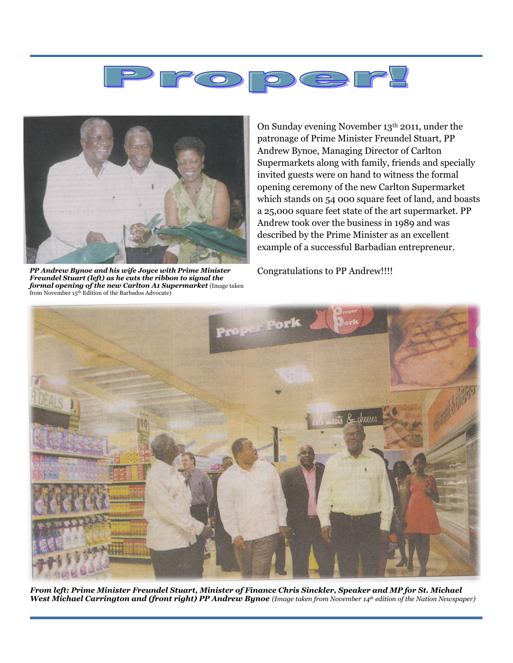



*PP Andrew Bynoe and his wife Joyce with Prime Minister Freundel Stuart (left) as he cuts the ribbon to signal the formal opening of the new Carlton A1 Supermarket* (Image taken from November 15th Edition of the Barbados Advocate)

On Sunday evening November 13th 2011, under the patronage of Prime Minister Freundel Stuart, PP Andrew Bynoe, Managing Director of Carlton Supermarkets along with family, friends and specially invited guests were on hand to witness the formal opening ceremony of the new Carlton Supermarket which stands on 54 000 square feet of land, and boasts a 25,000 square feet state of the art supermarket. PP Andrew took over the business in 1989 and was described by the Prime Minister as an excellent example of a successful Barbadian entrepreneur.

Congratulations to PP Andrew!!!!



*From left: Prime Minister Freundel Stuart, Minister of Finance Chris Sinckler, Speaker and MP for St. Michael West Michael Carrington and (front right) PP Andrew Bynoe (Image taken from November 14th edition of the Nation Newspaper)*